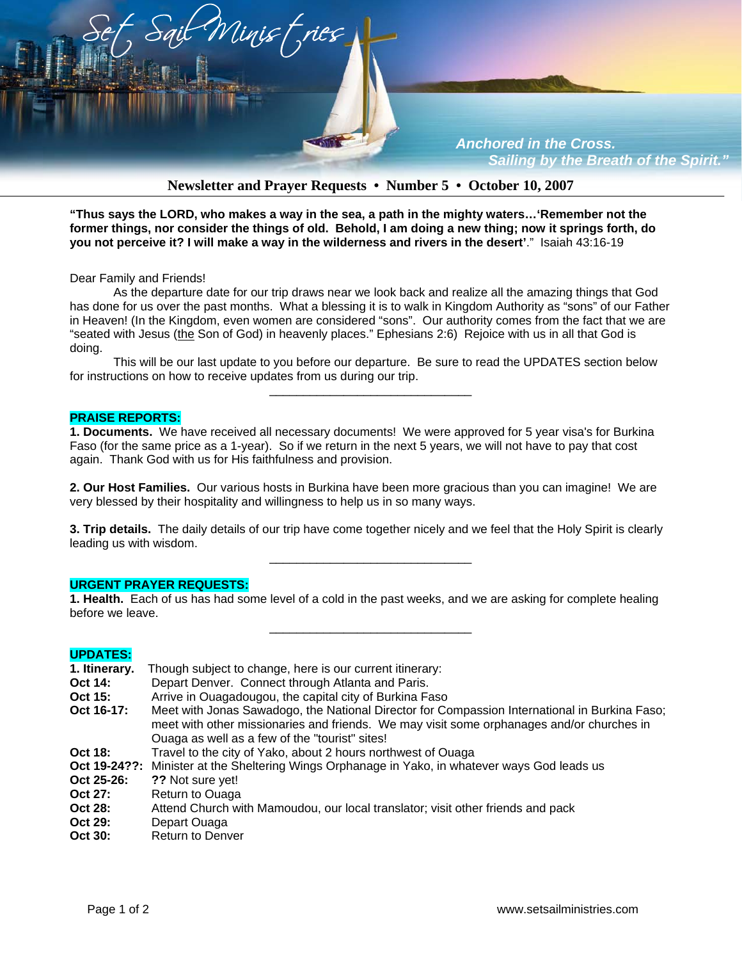

# **Newsletter and Prayer Requests • Number 5 • October 10, 2007**

**"Thus says the LORD, who makes a way in the sea, a path in the mighty waters…'Remember not the former things, nor consider the things of old. Behold, I am doing a new thing; now it springs forth, do you not perceive it? I will make a way in the wilderness and rivers in the desert'**." Isaiah 43:16-19

Dear Family and Friends!

 As the departure date for our trip draws near we look back and realize all the amazing things that God has done for us over the past months. What a blessing it is to walk in Kingdom Authority as "sons" of our Father in Heaven! (In the Kingdom, even women are considered "sons". Our authority comes from the fact that we are "seated with Jesus (the Son of God) in heavenly places." Ephesians 2:6) Rejoice with us in all that God is doing.

This will be our last update to you before our departure. Be sure to read the UPDATES section below for instructions on how to receive updates from us during our trip.

\_\_\_\_\_\_\_\_\_\_\_\_\_\_\_\_\_\_\_\_\_\_\_\_\_\_\_\_\_\_

#### **PRAISE REPORTS:**

**1. Documents.** We have received all necessary documents! We were approved for 5 year visa's for Burkina Faso (for the same price as a 1-year). So if we return in the next 5 years, we will not have to pay that cost again. Thank God with us for His faithfulness and provision.

**2. Our Host Families.** Our various hosts in Burkina have been more gracious than you can imagine! We are very blessed by their hospitality and willingness to help us in so many ways.

**3. Trip details.** The daily details of our trip have come together nicely and we feel that the Holy Spirit is clearly leading us with wisdom. \_\_\_\_\_\_\_\_\_\_\_\_\_\_\_\_\_\_\_\_\_\_\_\_\_\_\_\_\_\_

#### **URGENT PRAYER REQUESTS:**

**1. Health.** Each of us has had some level of a cold in the past weeks, and we are asking for complete healing before we leave.

\_\_\_\_\_\_\_\_\_\_\_\_\_\_\_\_\_\_\_\_\_\_\_\_\_\_\_\_\_\_

### **UPDATES:**

| 1. Itinerary. | Though subject to change, here is our current itinerary:                                                                                                                                                                                     |
|---------------|----------------------------------------------------------------------------------------------------------------------------------------------------------------------------------------------------------------------------------------------|
| Oct 14:       | Depart Denver. Connect through Atlanta and Paris.                                                                                                                                                                                            |
| Oct 15:       | Arrive in Ouagadougou, the capital city of Burkina Faso                                                                                                                                                                                      |
| Oct 16-17:    | Meet with Jonas Sawadogo, the National Director for Compassion International in Burkina Faso;<br>meet with other missionaries and friends. We may visit some orphanages and/or churches in<br>Ouaga as well as a few of the "tourist" sites! |
| Oct 18:       | Travel to the city of Yako, about 2 hours northwest of Ouaga                                                                                                                                                                                 |
|               | Oct 19-24??: Minister at the Sheltering Wings Orphanage in Yako, in whatever ways God leads us                                                                                                                                               |
| Oct 25-26:    | ?? Not sure yet!                                                                                                                                                                                                                             |
| Oct 27:       | Return to Ouaga                                                                                                                                                                                                                              |
| Oct 28:       | Attend Church with Mamoudou, our local translator; visit other friends and pack                                                                                                                                                              |
| Oct 29:       | Depart Ouaga                                                                                                                                                                                                                                 |
| Oct 30:       | <b>Return to Denver</b>                                                                                                                                                                                                                      |